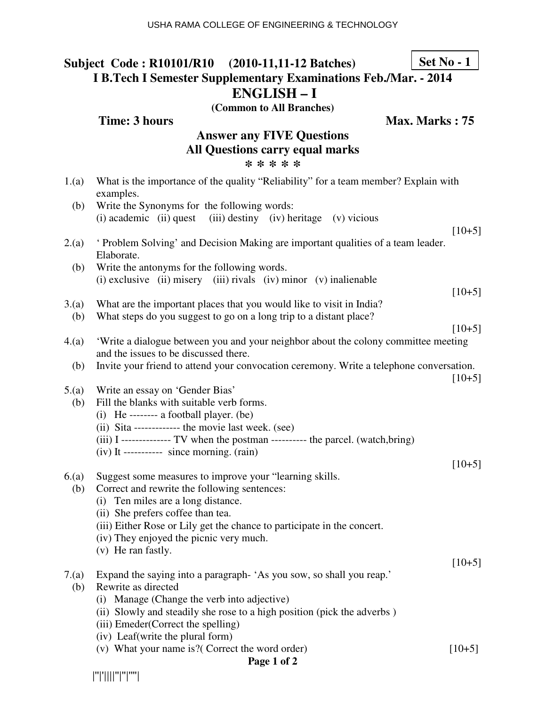## **Subject Code : R10101/R10 (2010-11,11-12 Batches) I B.Tech I Semester Supplementary Examinations Feb./Mar. - 2014 ENGLISH – I Set No - 1**

**(Common to All Branches)**

**Time: 3 hours Max. Marks : 75** 

#### **Answer any FIVE Questions All Questions carry equal marks \* \* \* \* \***

| 1.(a)       | What is the importance of the quality "Reliability" for a team member? Explain with<br>examples.                                           |          |
|-------------|--------------------------------------------------------------------------------------------------------------------------------------------|----------|
| (b)         | Write the Synonyms for the following words:                                                                                                |          |
|             | (i) academic (ii) quest (iii) destiny (iv) heritage (v) vicious                                                                            | $[10+5]$ |
| 2(a)        | ' Problem Solving' and Decision Making are important qualities of a team leader.<br>Elaborate.                                             |          |
| (b)         | Write the antonyms for the following words.                                                                                                |          |
|             | $(i)$ exclusive $(ii)$ misery $(iii)$ rivals $(iv)$ minor $(v)$ inalienable                                                                | $[10+5]$ |
| 3(a)<br>(b) | What are the important places that you would like to visit in India?<br>What steps do you suggest to go on a long trip to a distant place? |          |
|             |                                                                                                                                            | $[10+5]$ |
| 4(a)        | 'Write a dialogue between you and your neighbor about the colony committee meeting<br>and the issues to be discussed there.                |          |
| (b)         | Invite your friend to attend your convocation ceremony. Write a telephone conversation.                                                    | $[10+5]$ |
| 5.(a)       | Write an essay on 'Gender Bias'                                                                                                            |          |
| (b)         | Fill the blanks with suitable verb forms.                                                                                                  |          |
|             | (i) He -------- a football player. (be)                                                                                                    |          |
|             | (ii) Sita ------------- the movie last week. (see)<br>(iii) I -------------- TV when the postman ---------- the parcel. (watch,bring)      |          |
|             | $(iv)$ It ---------- since morning. $(rain)$                                                                                               |          |
|             |                                                                                                                                            | $[10+5]$ |
| 6(a)        | Suggest some measures to improve your "learning skills.                                                                                    |          |
| (b)         | Correct and rewrite the following sentences:                                                                                               |          |
|             | (i) Ten miles are a long distance.                                                                                                         |          |
|             | (ii) She prefers coffee than tea.                                                                                                          |          |
|             | (iii) Either Rose or Lily get the chance to participate in the concert.                                                                    |          |
|             | (iv) They enjoyed the picnic very much.<br>(v) He ran fastly.                                                                              |          |
|             |                                                                                                                                            | $[10+5]$ |
|             | 7.(a) Expand the saying into a paragraph- 'As you sow, so shall you reap.'                                                                 |          |
| (b)         | Rewrite as directed                                                                                                                        |          |
|             | Manage (Change the verb into adjective)<br>(i)                                                                                             |          |
|             | (ii) Slowly and steadily she rose to a high position (pick the adverbs)                                                                    |          |
|             | (iii) Emeder(Correct the spelling)                                                                                                         |          |
|             | (iv) Leaf(write the plural form)                                                                                                           |          |
|             | (v) What your name is?( Correct the word order)                                                                                            | $[10+5]$ |

#### **Page 1 of 2**

|''|'||||''|''|''''|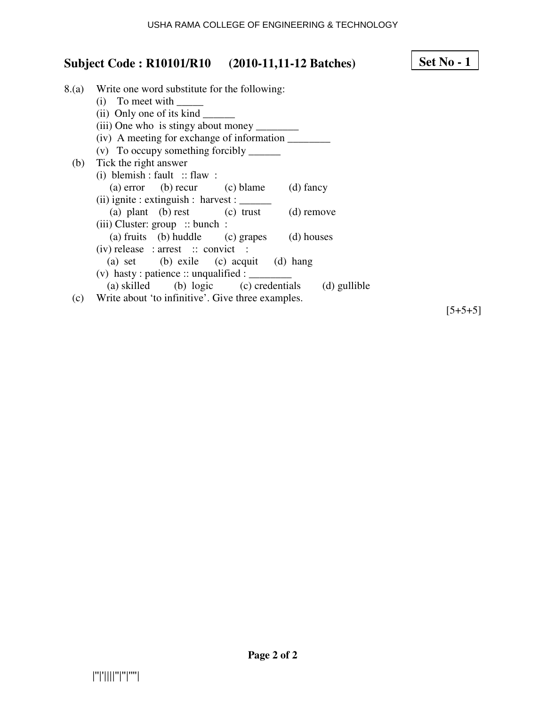#### 8.(a) Write one word substitute for the following:  $(i)$  To meet with \_\_\_\_\_\_\_\_ (ii) Only one of its kind \_\_\_\_\_\_ (iii) One who is stingy about money \_\_\_\_\_\_\_\_ (iv) A meeting for exchange of information \_\_\_\_\_\_\_\_ (v) To occupy something forcibly \_\_\_\_\_\_ (b) Tick the right answer (i) blemish : fault :: flaw : (a) error (b) recur (c) blame (d) fancy  $(ii)$  ignite : extinguish : harvest :  $\_\_$ (a) plant (b) rest (c) trust (d) remove (iii) Cluster: group :: bunch : (a) fruits (b) huddle (c) grapes (d) houses  $(iv)$  release : arrest :: convict : (a) set (b) exile (c) acquit (d) hang (v) hasty : patience :: unqualified :  $\qquad \qquad$  (a) skilled (b) logic (c) credentials (d) gullible (c) Write about 'to infinitive'. Give three examples.

 $[5+5+5]$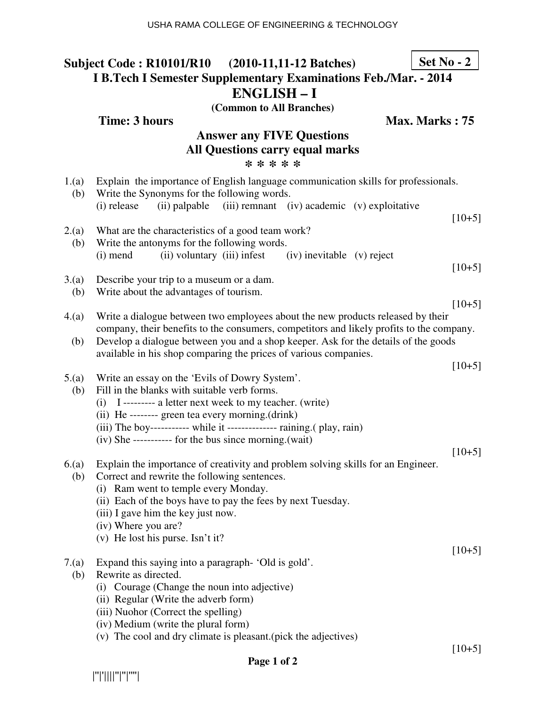#### **Subject Code : R10101/R10 (2010-11,11-12 Batches) I B.Tech I Semester Supplementary Examinations Feb./Mar. - 2014 ENGLISH – I (Common to All Branches) Set No - 2**

**Time: 3 hours Max. Marks : 75** 

### **Answer any FIVE Questions All Questions carry equal marks \* \* \* \* \***

| 1.(a)<br>(b) | Explain the importance of English language communication skills for professionals.<br>Write the Synonyms for the following words.                                                                                                                                                                                          |          |
|--------------|----------------------------------------------------------------------------------------------------------------------------------------------------------------------------------------------------------------------------------------------------------------------------------------------------------------------------|----------|
|              | (i) release<br>(ii) palpable<br>(iii) remnant (iv) academic (v) exploitative                                                                                                                                                                                                                                               | $[10+5]$ |
| 2.(a)<br>(b) | What are the characteristics of a good team work?<br>Write the antonyms for the following words.<br>(ii) voluntary (iii) infest<br>(iv) inevitable (v) reject<br>$(i)$ mend                                                                                                                                                |          |
| 3(a)<br>(b)  | Describe your trip to a museum or a dam.<br>Write about the advantages of tourism.                                                                                                                                                                                                                                         | $[10+5]$ |
| 4.(a)        | Write a dialogue between two employees about the new products released by their                                                                                                                                                                                                                                            | $[10+5]$ |
| (b)          | company, their benefits to the consumers, competitors and likely profits to the company.<br>Develop a dialogue between you and a shop keeper. Ask for the details of the goods<br>available in his shop comparing the prices of various companies.                                                                         |          |
| 5.(a)<br>(b) | Write an essay on the 'Evils of Dowry System'.<br>Fill in the blanks with suitable verb forms.<br>(i) I --------- a letter next week to my teacher. (write)<br>(ii) He -------- green tea every morning.(drink)                                                                                                            | $[10+5]$ |
|              | (iii) The boy----------- while it ------------- raining. (play, rain)<br>(iv) She ----------- for the bus since morning.(wait)                                                                                                                                                                                             | $[10+5]$ |
| 6(a)<br>(b)  | Explain the importance of creativity and problem solving skills for an Engineer.<br>Correct and rewrite the following sentences.<br>(i) Ram went to temple every Monday.<br>(ii) Each of the boys have to pay the fees by next Tuesday.<br>(iii) I gave him the key just now.<br>(iv) Where you are?                       |          |
|              | (v) He lost his purse. Isn't it?                                                                                                                                                                                                                                                                                           | $[10+5]$ |
| 7.(a)        | Expand this saying into a paragraph-'Old is gold'.<br>(b) Rewrite as directed.<br>Courage (Change the noun into adjective)<br>(1)<br>(ii) Regular (Write the adverb form)<br>(iii) Nuohor (Correct the spelling)<br>(iv) Medium (write the plural form)<br>(v) The cool and dry climate is pleasant. (pick the adjectives) |          |
|              |                                                                                                                                                                                                                                                                                                                            | $[10+5]$ |

 $[10+5]$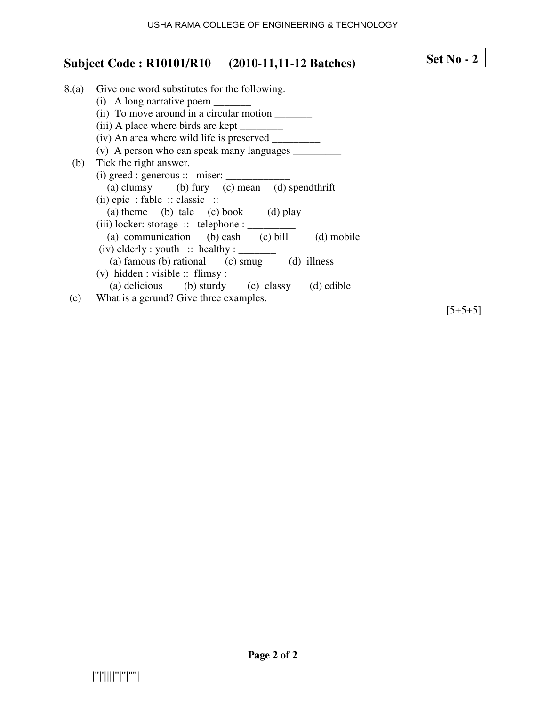#### 8.(a) Give one word substitutes for the following. (i) A long narrative poem  $\_\_$ (ii) To move around in a circular motion \_\_\_\_\_\_\_ (iii) A place where birds are kept \_\_\_\_\_\_\_\_ (iv) An area where wild life is preserved \_\_\_\_\_\_\_\_\_ (v) A person who can speak many languages  $\frac{1}{\sqrt{2\pi}}$  (b) Tick the right answer. (i) greed : generous  $::$  miser:  $\overline{\phantom{a}}$  (a) clumsy (b) fury (c) mean (d) spendthrift (ii) epic : fable :: classic :: (a) theme (b) tale (c) book (d) play (iii) locker: storage  $::$  telephone :  $\_\_$ (a) communication (b) cash (c) bill (d) mobile  $(iv)$  elderly : youth  $::$  healthy :  $\_\_$ (a) famous (b) rational (c) smug (d) illness (v) hidden : visible :: flimsy : (a) delicious (b) sturdy (c) classy (d) edible (c) What is a gerund? Give three examples.

 $[5+5+5]$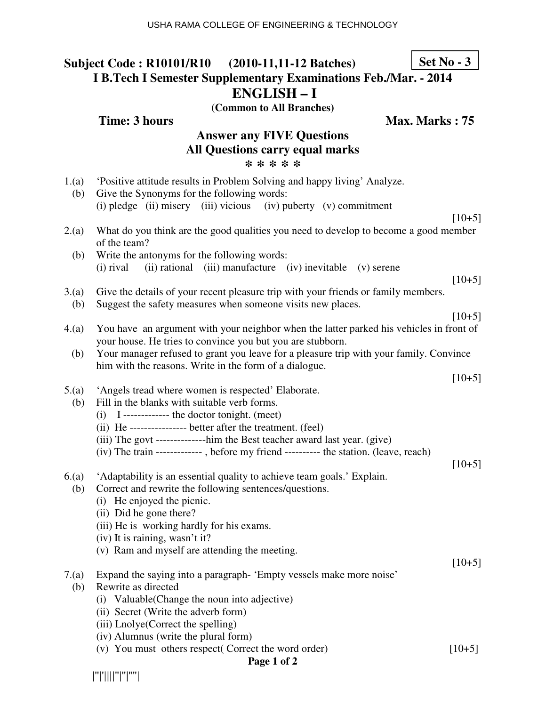#### **Subject Code : R10101/R10 (2010-11,11-12 Batches) I B.Tech I Semester Supplementary Examinations Feb./Mar. - 2014 ENGLISH – I (Common to All Branches) Set No - 3**

#### **Answer any FIVE Questions All Questions carry equal marks \* \* \* \* \***

- 1.(a) 'Positive attitude results in Problem Solving and happy living' Analyze.
- (b) Give the Synonyms for the following words: (i) pledge (ii) misery (iii) vicious (iv) puberty (v) commitment
- 2.(a) What do you think are the good qualities you need to develop to become a good member of the team?
	- (b) Write the antonyms for the following words: (i) rival (ii) rational (iii) manufacture (iv) inevitable (v) serene

 $[10+5]$ 

 $[10+5]$ 

- 3.(a) Give the details of your recent pleasure trip with your friends or family members.
- (b) Suggest the safety measures when someone visits new places.
- 4.(a) You have an argument with your neighbor when the latter parked his vehicles in front of your house. He tries to convince you but you are stubborn.
	- (b) Your manager refused to grant you leave for a pleasure trip with your family. Convince him with the reasons. Write in the form of a dialogue.

#### 5.(a) 'Angels tread where women is respected' Elaborate.

- (b) Fill in the blanks with suitable verb forms.
	- (i) I ------------- the doctor tonight. (meet)
	- (ii) He ---------------- better after the treatment. (feel)
	- (iii) The govt --------------him the Best teacher award last year. (give)
	- (iv) The train ------------- , before my friend ---------- the station. (leave, reach)

 $[10+5]$ 

- 6.(a) 'Adaptability is an essential quality to achieve team goals.' Explain.
	- (b) Correct and rewrite the following sentences/questions.
		- (i) He enjoyed the picnic.
		- (ii) Did he gone there?
		- (iii) He is working hardly for his exams.
		- (iv) It is raining, wasn't it?
		- (v) Ram and myself are attending the meeting.

7.(a) Expand the saying into a paragraph- 'Empty vessels make more noise'

- (b) Rewrite as directed
	- (i) Valuable(Change the noun into adjective)
	- (ii) Secret (Write the adverb form)
	- (iii) Lnolye(Correct the spelling)
	- (iv) Alumnus (write the plural form)
	- (v) You must others respect( Correct the word order) [10+5]

|''|'||||''|''|''''|

**Time: 3 hours Max. Marks : 75** 

 $[10+5]$ 

 $[10+5]$ 

 $[10+5]$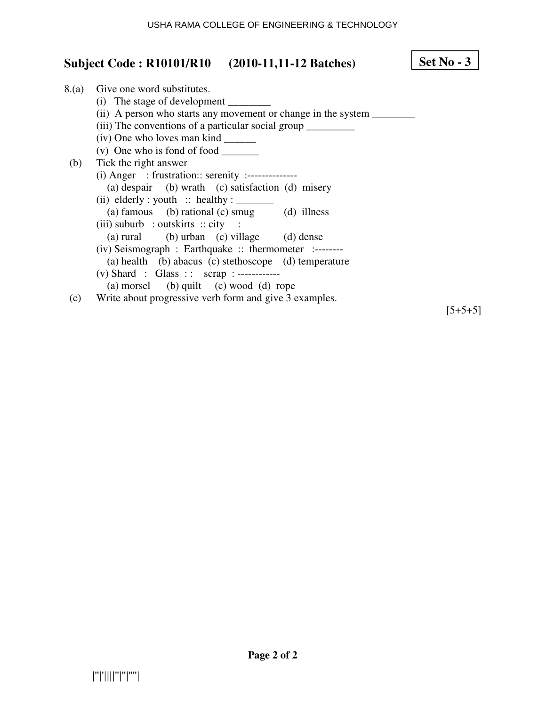# **Set No - 3**

| 8.(a) | Give one word substitutes.                                             |
|-------|------------------------------------------------------------------------|
|       | (i) The stage of development                                           |
|       | (ii) A person who starts any movement or change in the system ________ |
|       | (iii) The conventions of a particular social group __________          |
|       | (iv) One who loves man kind                                            |
|       | (v) One who is fond of food $\frac{ }{ }$                              |
| (b)   | Tick the right answer                                                  |
|       |                                                                        |
|       | (a) despair (b) wrath (c) satisfaction (d) misery                      |
|       | (ii) elderly : youth :: healthy : $\frac{ }{ }$                        |
|       | (a) famous (b) rational (c) smug (d) illness                           |
|       | (iii) suburb : outskirts $::$ city :                                   |
|       | (a) rural (b) urban (c) village (d) dense                              |
|       | $(iv)$ Seismograph : Earthquake :: thermometer :-------                |
|       | (a) health (b) abacus (c) stethoscope (d) temperature                  |
|       | (v) Shard : Glass :: $scri$ : ------------                             |
|       | (a) morsel (b) quilt (c) wood (d) rope                                 |
| (c)   | Write about progressive verb form and give 3 examples.                 |
|       |                                                                        |

 $[5+5+5]$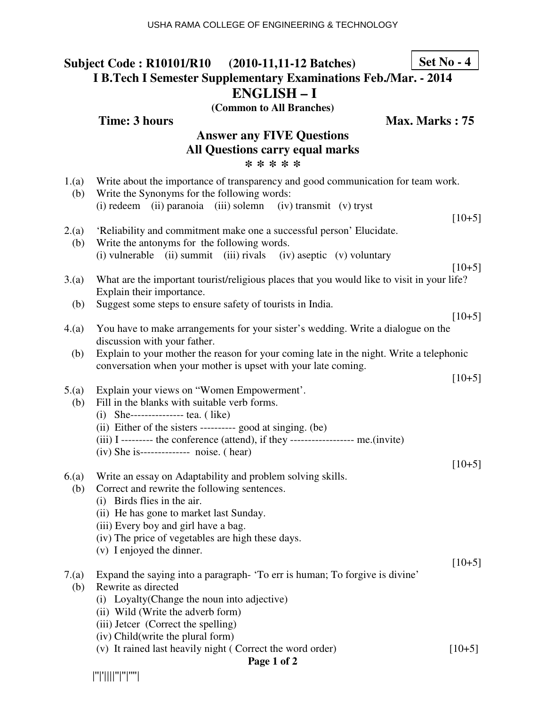# **Subject Code : R10101/R10 (2010-11,11-12 Batches) I B.Tech I Semester Supplementary Examinations Feb./Mar. - 2014 ENGLISH – I (Common to All Branches)**

**Time: 3 hours** Max. Marks : 75

### **Answer any FIVE Questions All Questions carry equal marks \* \* \* \* \***

| 1.(a)<br>(b) | Write about the importance of transparency and good communication for team work.<br>Write the Synonyms for the following words:                          |          |
|--------------|----------------------------------------------------------------------------------------------------------------------------------------------------------|----------|
|              | (i) redeem (ii) paranoia (iii) solemn (iv) transmit (v) tryst                                                                                            | $[10+5]$ |
| 2.(a)<br>(b) | 'Reliability and commitment make one a successful person' Elucidate.<br>Write the antonyms for the following words.                                      |          |
|              | (i) vulnerable (ii) summit (iii) rivals (iv) aseptic (v) voluntary                                                                                       | $[10+5]$ |
| 3(a)         | What are the important tourist/religious places that you would like to visit in your life?<br>Explain their importance.                                  |          |
| (b)          | Suggest some steps to ensure safety of tourists in India.                                                                                                | $[10+5]$ |
| 4.(a)        | You have to make arrangements for your sister's wedding. Write a dialogue on the<br>discussion with your father.                                         |          |
| (b)          | Explain to your mother the reason for your coming late in the night. Write a telephonic<br>conversation when your mother is upset with your late coming. |          |
|              |                                                                                                                                                          | $[10+5]$ |
| 5.(a)<br>(b) | Explain your views on "Women Empowerment'.<br>Fill in the blanks with suitable verb forms.<br>(i) She--------------- tea. $($ like)                      |          |
|              | (ii) Either of the sisters ---------- good at singing. (be)<br>(iii) I --------- the conference (attend), if they ------------------ me.(invite)         |          |
|              | (iv) She is-------------- noise. (hear)                                                                                                                  |          |
| 6(a)         | Write an essay on Adaptability and problem solving skills.                                                                                               | $[10+5]$ |
| (b)          | Correct and rewrite the following sentences.                                                                                                             |          |
|              | (i) Birds flies in the air.                                                                                                                              |          |
|              | (ii) He has gone to market last Sunday.<br>(iii) Every boy and girl have a bag.                                                                          |          |
|              | (iv) The price of vegetables are high these days.                                                                                                        |          |
|              | (v) I enjoyed the dinner.                                                                                                                                |          |
|              |                                                                                                                                                          | $[10+5]$ |
|              | 7.(a) Expand the saying into a paragraph- 'To err is human; To forgive is divine'                                                                        |          |
| (b)          | Rewrite as directed<br>Loyalty (Change the noun into adjective)<br>(i)                                                                                   |          |
|              | (ii) Wild (Write the adverb form)                                                                                                                        |          |
|              | (iii) Jetcer (Correct the spelling)                                                                                                                      |          |
|              | (iv) Child(write the plural form)                                                                                                                        |          |
|              | (v) It rained last heavily night (Correct the word order)<br>$\mathbf{D}_{\alpha\alpha\alpha}$ 1 $\alpha$ $\beta$ $\gamma$                               | $[10+5]$ |
|              |                                                                                                                                                          |          |

|''|'||||''|''|''''|

#### **Page 1 of 2**